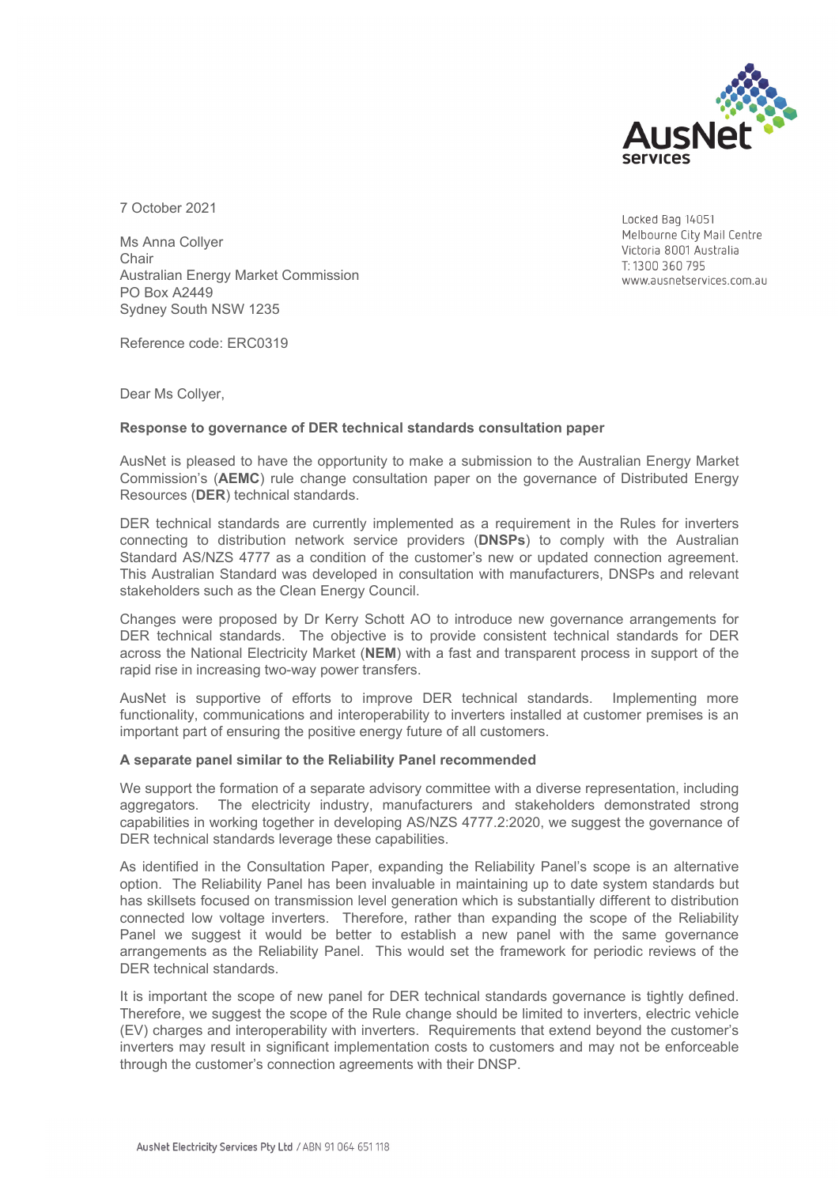

7 October 2021

Ms Anna Collyer **Chair** Australian Energy Market Commission PO Box A2449 Sydney South NSW 1235

Reference code: ERC0319

Dear Ms Collyer,

## **Response to governance of DER technical standards consultation paper**

AusNet is pleased to have the opportunity to make a submission to the Australian Energy Market Commission's (**AEMC**) rule change consultation paper on the governance of Distributed Energy Resources (**DER**) technical standards.

DER technical standards are currently implemented as a requirement in the Rules for inverters connecting to distribution network service providers (**DNSPs**) to comply with the Australian Standard AS/NZS 4777 as a condition of the customer's new or updated connection agreement. This Australian Standard was developed in consultation with manufacturers, DNSPs and relevant stakeholders such as the Clean Energy Council.

Changes were proposed by Dr Kerry Schott AO to introduce new governance arrangements for DER technical standards. The objective is to provide consistent technical standards for DER across the National Electricity Market (**NEM**) with a fast and transparent process in support of the rapid rise in increasing two-way power transfers.

AusNet is supportive of efforts to improve DER technical standards. Implementing more functionality, communications and interoperability to inverters installed at customer premises is an important part of ensuring the positive energy future of all customers.

## **A separate panel similar to the Reliability Panel recommended**

We support the formation of a separate advisory committee with a diverse representation, including aggregators. The electricity industry, manufacturers and stakeholders demonstrated strong capabilities in working together in developing AS/NZS 4777.2:2020, we suggest the governance of DER technical standards leverage these capabilities.

As identified in the Consultation Paper, expanding the Reliability Panel's scope is an alternative option. The Reliability Panel has been invaluable in maintaining up to date system standards but has skillsets focused on transmission level generation which is substantially different to distribution connected low voltage inverters. Therefore, rather than expanding the scope of the Reliability Panel we suggest it would be better to establish a new panel with the same governance arrangements as the Reliability Panel. This would set the framework for periodic reviews of the DER technical standards.

It is important the scope of new panel for DER technical standards governance is tightly defined. Therefore, we suggest the scope of the Rule change should be limited to inverters, electric vehicle (EV) charges and interoperability with inverters. Requirements that extend beyond the customer's inverters may result in significant implementation costs to customers and may not be enforceable through the customer's connection agreements with their DNSP.

Locked Bag 14051 Melbourne City Mail Centre Victoria 8001 Australia T: 1300 360 795 www.ausnetservices.com.au